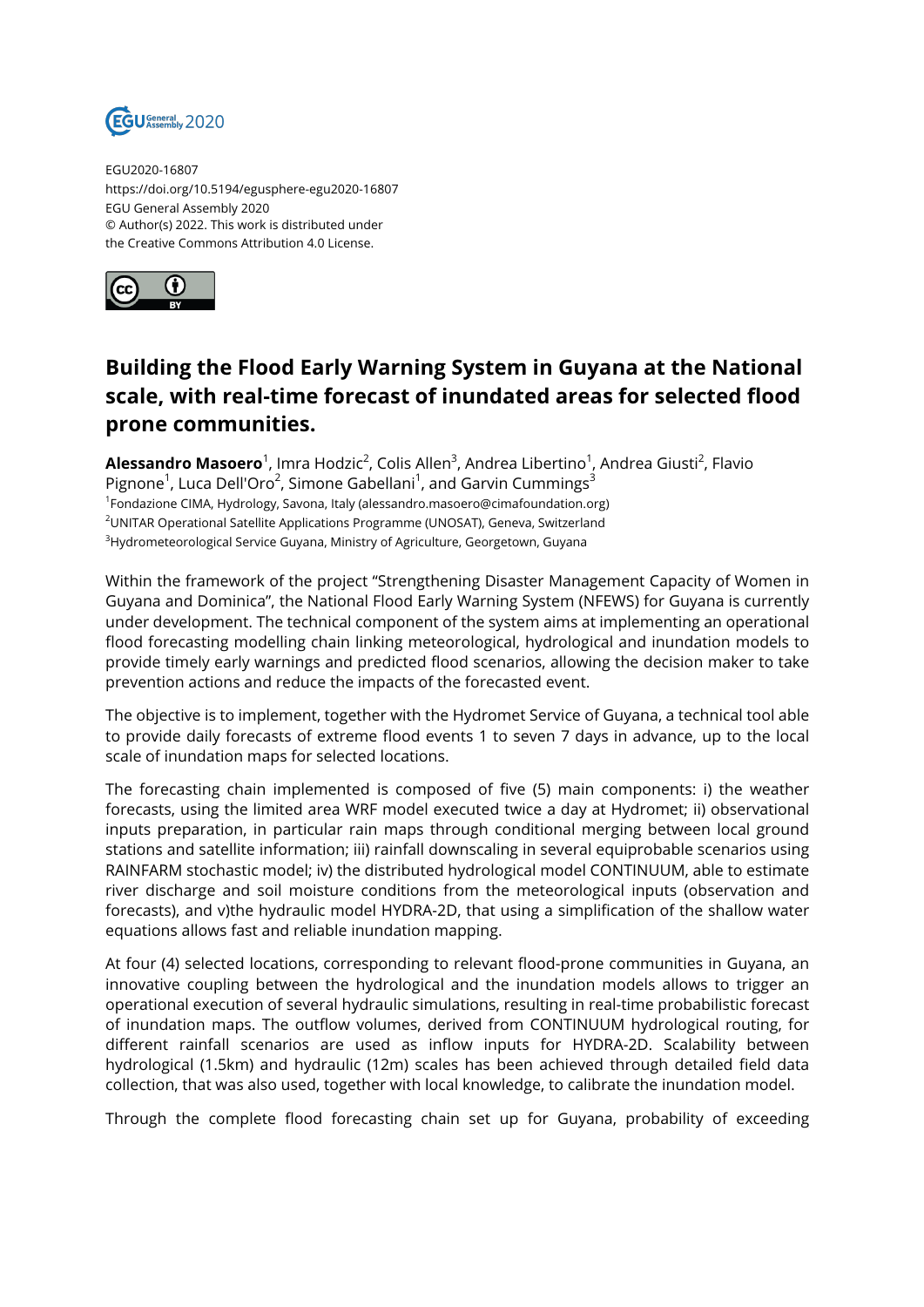

EGU2020-16807 https://doi.org/10.5194/egusphere-egu2020-16807 EGU General Assembly 2020 © Author(s) 2022. This work is distributed under the Creative Commons Attribution 4.0 License.



## **Building the Flood Early Warning System in Guyana at the National scale, with real-time forecast of inundated areas for selected flood prone communities.**

**Alessandro Masoero**<sup>1</sup>, Imra Hodzic<sup>2</sup>, Colis Allen<sup>3</sup>, Andrea Libertino<sup>1</sup>, Andrea Giusti<sup>2</sup>, Flavio Pignone<sup>1</sup>, Luca Dell'Oro<sup>2</sup>, Simone Gabellani<sup>1</sup>, and Garvin Cummings<sup>3</sup> <sup>1</sup>Fondazione CIMA, Hydrology, Savona, Italy (alessandro.masoero@cimafoundation.org) <sup>2</sup>UNITAR Operational Satellite Applications Programme (UNOSAT), Geneva, Switzerland <sup>3</sup>Hydrometeorological Service Guyana, Ministry of Agriculture, Georgetown, Guyana

Within the framework of the project "Strengthening Disaster Management Capacity of Women in Guyana and Dominica", the National Flood Early Warning System (NFEWS) for Guyana is currently under development. The technical component of the system aims at implementing an operational flood forecasting modelling chain linking meteorological, hydrological and inundation models to provide timely early warnings and predicted flood scenarios, allowing the decision maker to take prevention actions and reduce the impacts of the forecasted event.

The objective is to implement, together with the Hydromet Service of Guyana, a technical tool able to provide daily forecasts of extreme flood events 1 to seven 7 days in advance, up to the local scale of inundation maps for selected locations.

The forecasting chain implemented is composed of five (5) main components: i) the weather forecasts, using the limited area WRF model executed twice a day at Hydromet; ii) observational inputs preparation, in particular rain maps through conditional merging between local ground stations and satellite information; iii) rainfall downscaling in several equiprobable scenarios using RAINFARM stochastic model; iv) the distributed hydrological model CONTINUUM, able to estimate river discharge and soil moisture conditions from the meteorological inputs (observation and forecasts), and v)the hydraulic model HYDRA-2D, that using a simplification of the shallow water equations allows fast and reliable inundation mapping.

At four (4) selected locations, corresponding to relevant flood-prone communities in Guyana, an innovative coupling between the hydrological and the inundation models allows to trigger an operational execution of several hydraulic simulations, resulting in real-time probabilistic forecast of inundation maps. The outflow volumes, derived from CONTINUUM hydrological routing, for different rainfall scenarios are used as inflow inputs for HYDRA-2D. Scalability between hydrological (1.5km) and hydraulic (12m) scales has been achieved through detailed field data collection, that was also used, together with local knowledge, to calibrate the inundation model.

Through the complete flood forecasting chain set up for Guyana, probability of exceeding